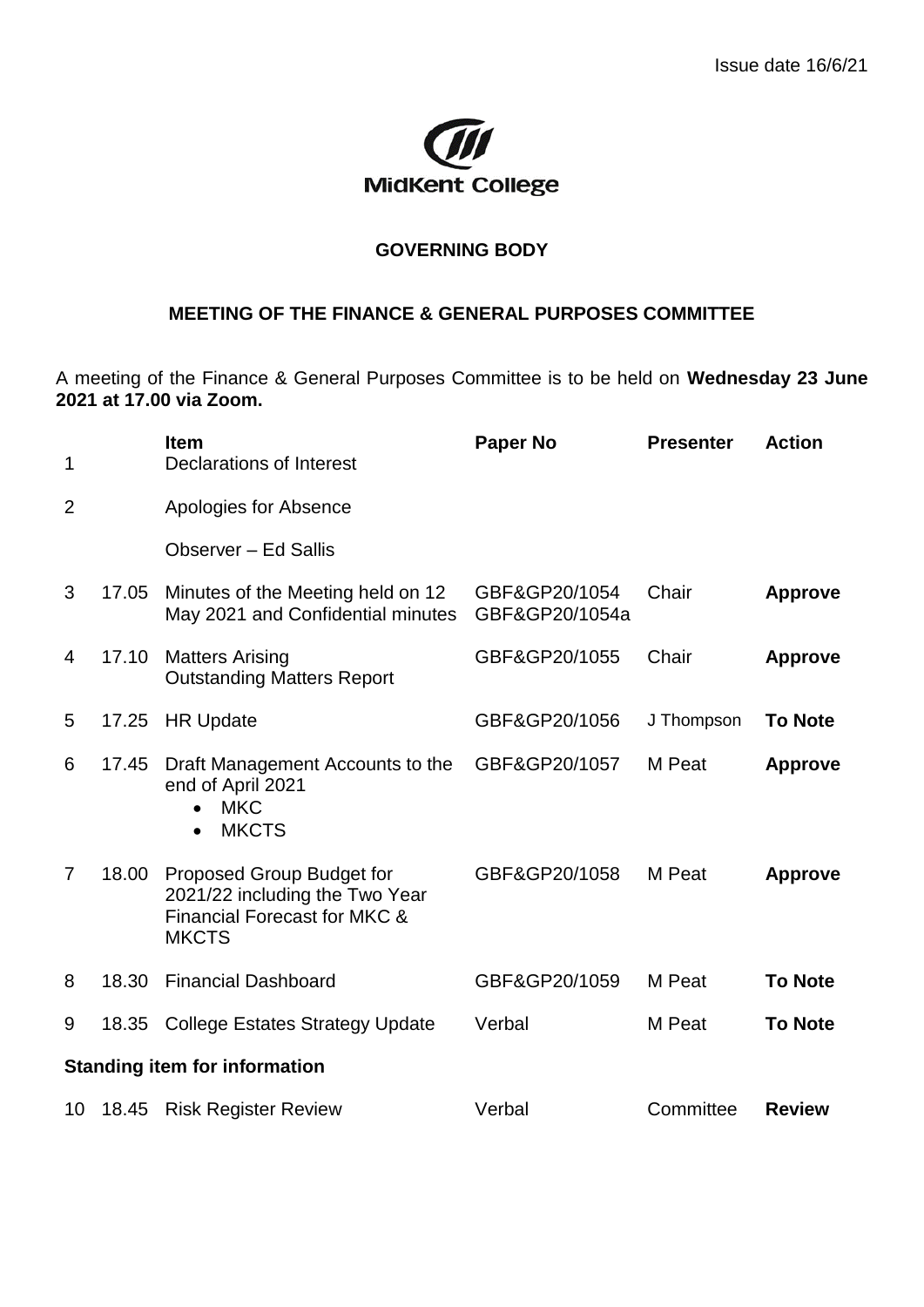

## **GOVERNING BODY**

## **MEETING OF THE FINANCE & GENERAL PURPOSES COMMITTEE**

A meeting of the Finance & General Purposes Committee is to be held on **Wednesday 23 June 2021 at 17.00 via Zoom.**

| 1                                    |       | <b>Item</b><br>Declarations of Interest                                                                     | <b>Paper No</b>                 | <b>Presenter</b> | <b>Action</b>  |  |  |
|--------------------------------------|-------|-------------------------------------------------------------------------------------------------------------|---------------------------------|------------------|----------------|--|--|
| $\overline{2}$                       |       | Apologies for Absence                                                                                       |                                 |                  |                |  |  |
|                                      |       | Observer - Ed Sallis                                                                                        |                                 |                  |                |  |  |
| 3                                    | 17.05 | Minutes of the Meeting held on 12<br>May 2021 and Confidential minutes                                      | GBF&GP20/1054<br>GBF&GP20/1054a | Chair            | <b>Approve</b> |  |  |
| 4                                    | 17.10 | <b>Matters Arising</b><br><b>Outstanding Matters Report</b>                                                 | GBF&GP20/1055                   | Chair            | <b>Approve</b> |  |  |
| 5                                    | 17.25 | <b>HR Update</b>                                                                                            | GBF&GP20/1056                   | J Thompson       | <b>To Note</b> |  |  |
| 6                                    | 17.45 | Draft Management Accounts to the<br>end of April 2021<br><b>MKC</b><br><b>MKCTS</b><br>$\bullet$            | GBF&GP20/1057                   | M Peat           | <b>Approve</b> |  |  |
| $\overline{7}$                       | 18.00 | Proposed Group Budget for<br>2021/22 including the Two Year<br>Financial Forecast for MKC &<br><b>MKCTS</b> | GBF&GP20/1058                   | M Peat           | <b>Approve</b> |  |  |
| 8                                    | 18.30 | <b>Financial Dashboard</b>                                                                                  | GBF&GP20/1059                   | M Peat           | <b>To Note</b> |  |  |
| 9                                    | 18.35 | <b>College Estates Strategy Update</b>                                                                      | Verbal                          | M Peat           | <b>To Note</b> |  |  |
| <b>Standing item for information</b> |       |                                                                                                             |                                 |                  |                |  |  |
| 10                                   | 18.45 | <b>Risk Register Review</b>                                                                                 | Verbal                          | Committee        | <b>Review</b>  |  |  |